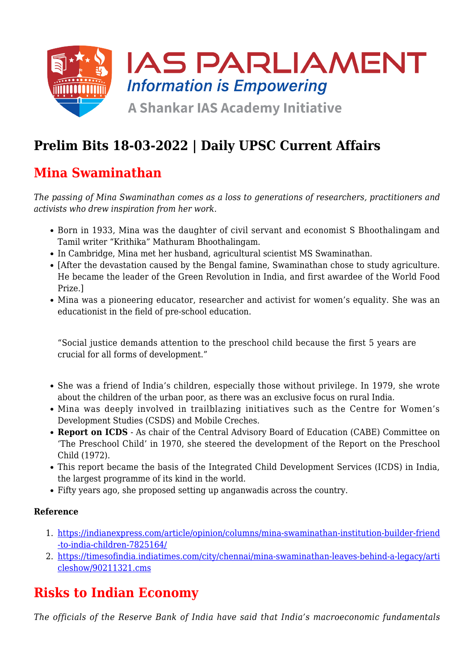

# **Prelim Bits 18-03-2022 | Daily UPSC Current Affairs**

### **Mina Swaminathan**

*The passing of Mina Swaminathan comes as a loss to generations of researchers, practitioners and activists who drew inspiration from her work.*

- Born in 1933, Mina was the daughter of civil servant and economist S Bhoothalingam and Tamil writer "Krithika" Mathuram Bhoothalingam.
- In Cambridge, Mina met her husband, agricultural scientist MS Swaminathan.
- [After the devastation caused by the Bengal famine, Swaminathan chose to study agriculture. He became the leader of the Green Revolution in India, and first awardee of the World Food Prize.]
- Mina was a pioneering educator, researcher and activist for women's equality. She was an educationist in the field of pre-school education.

"Social justice demands attention to the preschool child because the first 5 years are crucial for all forms of development."

- She was a friend of India's children, especially those without privilege. In 1979, she wrote about the children of the urban poor, as there was an exclusive focus on rural India.
- Mina was deeply involved in trailblazing initiatives such as the Centre for Women's Development Studies (CSDS) and Mobile Creches.
- **Report on ICDS** As chair of the Central Advisory Board of Education (CABE) Committee on 'The Preschool Child' in 1970, she steered the development of the Report on the Preschool Child (1972).
- This report became the basis of the Integrated Child Development Services (ICDS) in India, the largest programme of its kind in the world.
- Fifty years ago, she proposed setting up anganwadis across the country.

#### **Reference**

- 1. [https://indianexpress.com/article/opinion/columns/mina-swaminathan-institution-builder-friend](https://indianexpress.com/article/opinion/columns/mina-swaminathan-institution-builder-friend-to-india-children-7825164/) [-to-india-children-7825164/](https://indianexpress.com/article/opinion/columns/mina-swaminathan-institution-builder-friend-to-india-children-7825164/)
- 2. [https://timesofindia.indiatimes.com/city/chennai/mina-swaminathan-leaves-behind-a-legacy/arti](https://timesofindia.indiatimes.com/city/chennai/mina-swaminathan-leaves-behind-a-legacy/articleshow/90211321.cms) [cleshow/90211321.cms](https://timesofindia.indiatimes.com/city/chennai/mina-swaminathan-leaves-behind-a-legacy/articleshow/90211321.cms)

## **Risks to Indian Economy**

*The officials of the Reserve Bank of India have said that India's macroeconomic fundamentals*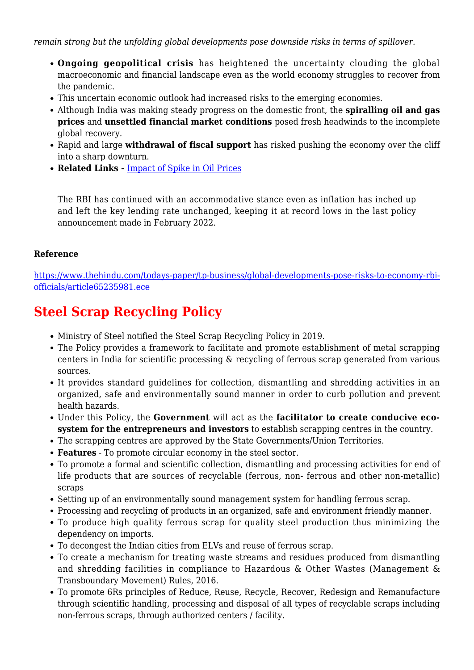*remain strong but the unfolding global developments pose downside risks in terms of spillover.*

- **Ongoing geopolitical crisis** has heightened the uncertainty clouding the global macroeconomic and financial landscape even as the world economy struggles to recover from the pandemic.
- This uncertain economic outlook had increased risks to the emerging economies.
- Although India was making steady progress on the domestic front, the **spiralling oil and gas prices** and **unsettled financial market conditions** posed fresh headwinds to the incomplete global recovery.
- Rapid and large **withdrawal of fiscal support** has risked pushing the economy over the cliff into a sharp downturn.
- **Related Links** [Impact of Spike in Oil Prices](https://www.iasparliament.com/current-affairs/prelim-bits-08-03-2022-upsc-daily-current-affairs)

The RBI has continued with an accommodative stance even as inflation has inched up and left the key lending rate unchanged, keeping it at record lows in the last policy announcement made in February 2022.

#### **Reference**

[https://www.thehindu.com/todays-paper/tp-business/global-developments-pose-risks-to-economy-rbi](https://www.thehindu.com/todays-paper/tp-business/global-developments-pose-risks-to-economy-rbi-officials/article65235981.ece)[officials/article65235981.ece](https://www.thehindu.com/todays-paper/tp-business/global-developments-pose-risks-to-economy-rbi-officials/article65235981.ece)

## **Steel Scrap Recycling Policy**

- Ministry of Steel notified the Steel Scrap Recycling Policy in 2019.
- The Policy provides a framework to facilitate and promote establishment of metal scrapping centers in India for scientific processing & recycling of ferrous scrap generated from various sources.
- It provides standard guidelines for collection, dismantling and shredding activities in an organized, safe and environmentally sound manner in order to curb pollution and prevent health hazards.
- Under this Policy, the **Government** will act as the **facilitator to create conducive ecosystem for the entrepreneurs and investors** to establish scrapping centres in the country.
- The scrapping centres are approved by the State Governments/Union Territories.
- **Features** To promote circular economy in the steel sector.
- To promote a formal and scientific collection, dismantling and processing activities for end of life products that are sources of recyclable (ferrous, non- ferrous and other non-metallic) scraps
- Setting up of an environmentally sound management system for handling ferrous scrap.
- Processing and recycling of products in an organized, safe and environment friendly manner.
- To produce high quality ferrous scrap for quality steel production thus minimizing the dependency on imports.
- To decongest the Indian cities from ELVs and reuse of ferrous scrap.
- To create a mechanism for treating waste streams and residues produced from dismantling and shredding facilities in compliance to Hazardous & Other Wastes (Management & Transboundary Movement) Rules, 2016.
- To promote 6Rs principles of Reduce, Reuse, Recycle, Recover, Redesign and Remanufacture through scientific handling, processing and disposal of all types of recyclable scraps including non-ferrous scraps, through authorized centers / facility.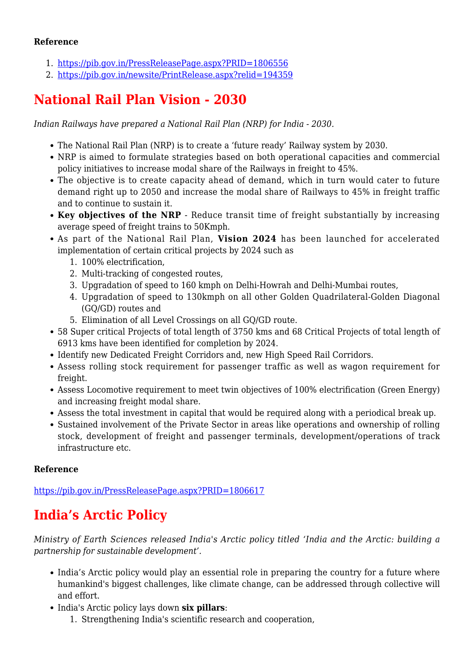#### **Reference**

- 1. <https://pib.gov.in/PressReleasePage.aspx?PRID=1806556>
- 2. <https://pib.gov.in/newsite/PrintRelease.aspx?relid=194359>

## **National Rail Plan Vision - 2030**

*Indian Railways have prepared a National Rail Plan (NRP) for India - 2030.*

- The National Rail Plan (NRP) is to create a 'future ready' Railway system by 2030.
- NRP is aimed to formulate strategies based on both operational capacities and commercial policy initiatives to increase modal share of the Railways in freight to 45%.
- The objective is to create capacity ahead of demand, which in turn would cater to future demand right up to 2050 and increase the modal share of Railways to 45% in freight traffic and to continue to sustain it.
- Key objectives of the NRP Reduce transit time of freight substantially by increasing average speed of freight trains to 50Kmph.
- As part of the National Rail Plan, **Vision 2024** has been launched for accelerated implementation of certain critical projects by 2024 such as
	- 1. 100% electrification,
	- 2. Multi-tracking of congested routes,
	- 3. Upgradation of speed to 160 kmph on Delhi-Howrah and Delhi-Mumbai routes,
	- 4. Upgradation of speed to 130kmph on all other Golden Quadrilateral-Golden Diagonal (GQ/GD) routes and
	- 5. Elimination of all Level Crossings on all GQ/GD route.
- 58 Super critical Projects of total length of 3750 kms and 68 Critical Projects of total length of 6913 kms have been identified for completion by 2024.
- Identify new Dedicated Freight Corridors and, new High Speed Rail Corridors.
- Assess rolling stock requirement for passenger traffic as well as wagon requirement for freight.
- Assess Locomotive requirement to meet twin objectives of 100% electrification (Green Energy) and increasing freight modal share.
- Assess the total investment in capital that would be required along with a periodical break up.
- Sustained involvement of the Private Sector in areas like operations and ownership of rolling stock, development of freight and passenger terminals, development/operations of track infrastructure etc.

#### **Reference**

<https://pib.gov.in/PressReleasePage.aspx?PRID=1806617>

## **India's Arctic Policy**

*Ministry of Earth Sciences released India's Arctic policy titled 'India and the Arctic: building a partnership for sustainable development'.*

- India's Arctic policy would play an essential role in preparing the country for a future where humankind's biggest challenges, like climate change, can be addressed through collective will and effort.
- India's Arctic policy lays down **six pillars**:
	- 1. Strengthening India's scientific research and cooperation,